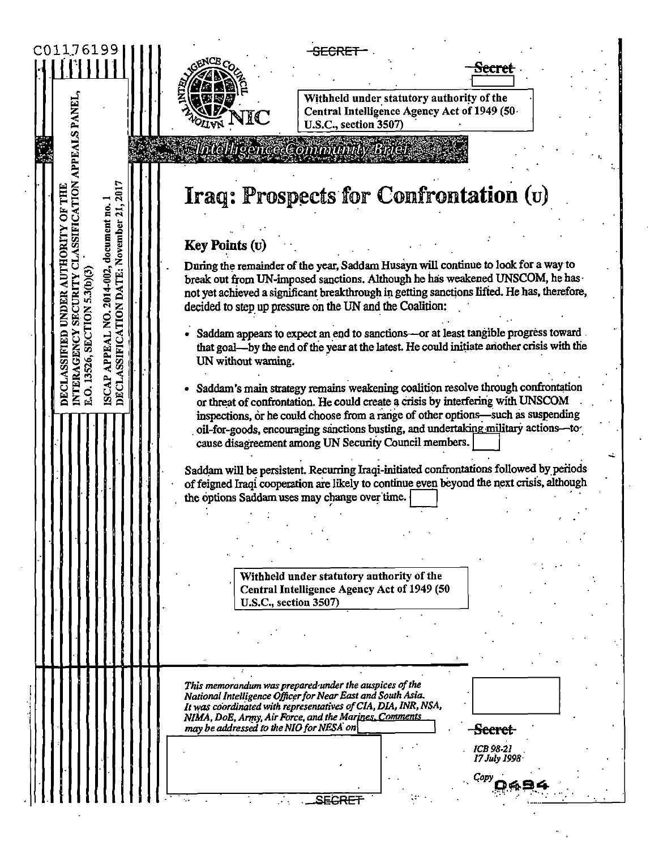| C01176199                                                                                                                                                                                                                  | <del>SECRET</del><br>Secret<br>Withheld under statutory authority of the<br>Central Intelligence Agency Act of 1949 (50<br>NIC<br>U.S.C., section 3507)                                                                                                                                                                                                                                                                                                                                                                                                                                                                                                                                                                                                                                                                                                                                                                                                                                                              |
|----------------------------------------------------------------------------------------------------------------------------------------------------------------------------------------------------------------------------|----------------------------------------------------------------------------------------------------------------------------------------------------------------------------------------------------------------------------------------------------------------------------------------------------------------------------------------------------------------------------------------------------------------------------------------------------------------------------------------------------------------------------------------------------------------------------------------------------------------------------------------------------------------------------------------------------------------------------------------------------------------------------------------------------------------------------------------------------------------------------------------------------------------------------------------------------------------------------------------------------------------------|
|                                                                                                                                                                                                                            | <b>C. Matchigence Community Brief</b>                                                                                                                                                                                                                                                                                                                                                                                                                                                                                                                                                                                                                                                                                                                                                                                                                                                                                                                                                                                |
| SSIFICATION APPEALS PANEL<br>ISCAP APPEAL NO. 2014-002, document no. 1<br>DECLASSIFICATION DATE: November 21, 2017<br>THE<br>ORITY<br>5.3(b)(3<br>SECURITY<br>E.O. 13526, SECTION<br><b>INTERAGENCY</b><br>SSIFIED<br>DECL | Iraq: Prospects for Confrontation (u)<br><b>Key Points (U)</b><br>During the remainder of the year, Saddam Husayn will continue to look for a way to<br>break out from UN-imposed sanctions. Although he has weakened UNSCOM, he has<br>not yet achieved a significant breakthrough in getting sanctions lifted. He has, therefore,<br>decided to step up pressure on the UN and the Coalition:<br>Saddam appears to expect an end to sanctions-or at least tangible progress toward.<br>that goal-by the end of the year at the latest. He could initiate another crisis with the<br>UN without warning.<br>· Saddam's main strategy remains weakening coalition resolve through confrontation<br>or threat of confrontation. He could create a crisis by interfering with UNSCOM<br>inspections, or he could choose from a range of other options-such as suspending<br>oil-for-goods, encouraging sanctions busting, and undertaking military actions-to<br>cause disagreement among UN Security Council members. |
|                                                                                                                                                                                                                            | Saddam will be persistent. Recurring Iraqi-initiated confrontations followed by periods                                                                                                                                                                                                                                                                                                                                                                                                                                                                                                                                                                                                                                                                                                                                                                                                                                                                                                                              |
|                                                                                                                                                                                                                            | of feigned Iraqi cooperation are likely to continue even beyond the next crisis, although                                                                                                                                                                                                                                                                                                                                                                                                                                                                                                                                                                                                                                                                                                                                                                                                                                                                                                                            |
|                                                                                                                                                                                                                            | the options Saddam uses may change over time.                                                                                                                                                                                                                                                                                                                                                                                                                                                                                                                                                                                                                                                                                                                                                                                                                                                                                                                                                                        |
|                                                                                                                                                                                                                            |                                                                                                                                                                                                                                                                                                                                                                                                                                                                                                                                                                                                                                                                                                                                                                                                                                                                                                                                                                                                                      |
|                                                                                                                                                                                                                            |                                                                                                                                                                                                                                                                                                                                                                                                                                                                                                                                                                                                                                                                                                                                                                                                                                                                                                                                                                                                                      |
|                                                                                                                                                                                                                            |                                                                                                                                                                                                                                                                                                                                                                                                                                                                                                                                                                                                                                                                                                                                                                                                                                                                                                                                                                                                                      |
|                                                                                                                                                                                                                            |                                                                                                                                                                                                                                                                                                                                                                                                                                                                                                                                                                                                                                                                                                                                                                                                                                                                                                                                                                                                                      |
|                                                                                                                                                                                                                            | Withheld under statutory authority of the<br>Central Intelligence Agency Act of 1949 (50                                                                                                                                                                                                                                                                                                                                                                                                                                                                                                                                                                                                                                                                                                                                                                                                                                                                                                                             |
|                                                                                                                                                                                                                            | U.S.C., section 3507)                                                                                                                                                                                                                                                                                                                                                                                                                                                                                                                                                                                                                                                                                                                                                                                                                                                                                                                                                                                                |
|                                                                                                                                                                                                                            |                                                                                                                                                                                                                                                                                                                                                                                                                                                                                                                                                                                                                                                                                                                                                                                                                                                                                                                                                                                                                      |
|                                                                                                                                                                                                                            |                                                                                                                                                                                                                                                                                                                                                                                                                                                                                                                                                                                                                                                                                                                                                                                                                                                                                                                                                                                                                      |
|                                                                                                                                                                                                                            |                                                                                                                                                                                                                                                                                                                                                                                                                                                                                                                                                                                                                                                                                                                                                                                                                                                                                                                                                                                                                      |
|                                                                                                                                                                                                                            | This memorandum was prepared under the auspices of the<br>National Intelligence Officer for Near East and South Asia.<br>It was coordinated with representatives of CIA, DIA, INR, NSA,<br>NIMA, DoE, Army, Air Force, and the Marines, Comments                                                                                                                                                                                                                                                                                                                                                                                                                                                                                                                                                                                                                                                                                                                                                                     |
|                                                                                                                                                                                                                            | may be addressed to the NIO for NESA on<br><del>Secret</del>                                                                                                                                                                                                                                                                                                                                                                                                                                                                                                                                                                                                                                                                                                                                                                                                                                                                                                                                                         |
|                                                                                                                                                                                                                            | <b>ICB 98-21</b><br>17 July 1998.                                                                                                                                                                                                                                                                                                                                                                                                                                                                                                                                                                                                                                                                                                                                                                                                                                                                                                                                                                                    |
|                                                                                                                                                                                                                            |                                                                                                                                                                                                                                                                                                                                                                                                                                                                                                                                                                                                                                                                                                                                                                                                                                                                                                                                                                                                                      |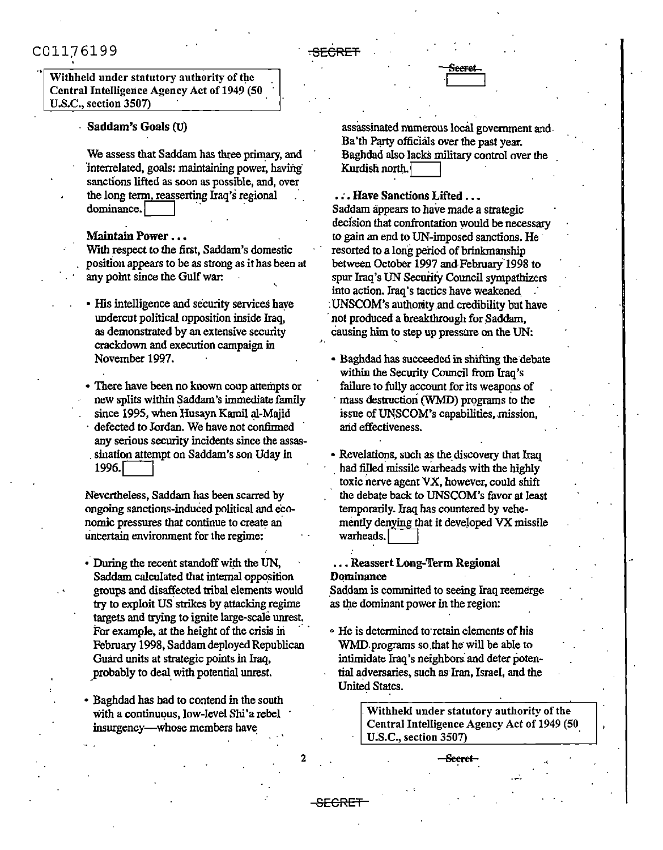.,

Withheld under statutory authority of the Central Intelligence Agency Act of 1949 (50 U.S.C., section 3507)

## · Saddam's Goals (U)

We assess that Saddam bas three primary, and interrelated, goals: maintaining power, having sanctions lifted as soon as possible, and, over<br>the long term, reasserting Iraq's regional dominance.

#### Maintain Power ...

With respect to the first, Saddam's domestic position appears to be as strong as ithas been at any point since the Gulf war:

- His intelligence and security services have undercut political opposition inside Iraq, as demonstrated by an extensive security crackdown and execution campaign in November 1997.
- There have been no known coup attempts or new splits within Saddam's immediate family since 1995, when Husayn Kami! al-Majid defected to Jordan. We have not confirmed any serious security incidents since the assas sination attempt on Saddam's son Uday in 1996.

Nevertheless, Saddam has been scarred by ongoing sanctions-induced political and economic pressures that continue to create an uncertain environment for the regime:

• During the recent standoff with the UN, Saddam calculated that internal opposition groups and disaffected tribal elements would try to exploit US strikes by attacking regime targets and trying to ignite large-scale unrest. For example, at the height of the crisis in February 1998, Saddam deployed Republican Guard units at strategic points in Iraq, probably to deal with potential unrest.

• Baghdad has had to contend in the south with a continuous, low-level Shi'a rebel insurgency-whose members have

**SeeFet**  I~-~

assassinated numerous local government and. Ba'th Party officials over the past year. Baghdad also lacks military control over the . Kurdish north.

. $\sim$ pcr

·'·

•*:*•Have Sanctions Lifted ••• Saddam appears to have made a strategic decision that confrontation would be necessary to gain an end to UN-imposed sanctions. He resorted to a long period of brinkmanship between October 1997 and-February.1998 to spur Iraq's UN Security Council sympathizers into action. Iraq's tactics have weakened : UNSCOM's authority .and credibility but have not produced a breakthrough for Saddam. causing him to step up pressure on the UN:

• Baghdad has succeeded in shifting the debate within the Security Council from Iraq's failure to fully account for its weapons of mass destruction (WMD) programs to the issue of UNSCOM's capabilities, mission, arid effectiveness.

• Revelations, such as the discovery that Iraq had filled missile warheads with the highly toxic nerve agent VX, however, could shift the debate back to UNSCOM's favor at least temporarily. Iraq has countered by vehemently denying that it developed VX missile warheads.

#### •.. Reassert Long-Term Regional Dominance

 $\cdot$  :

\_Saddam is committed to seeing Iraq reemerge as the dominant power in the region:

• He is determined to retain elements of his WMD programs so that he will be able to intimidate Iraq's neighbors and deter potential adversaries, such as· Iran, Israel, and the United States.

> . Withheld under statutory authority of the Central Intelligence Agency Act of 1949 (50 U.S.C., section 3507)

> > **Seerel** ·<

2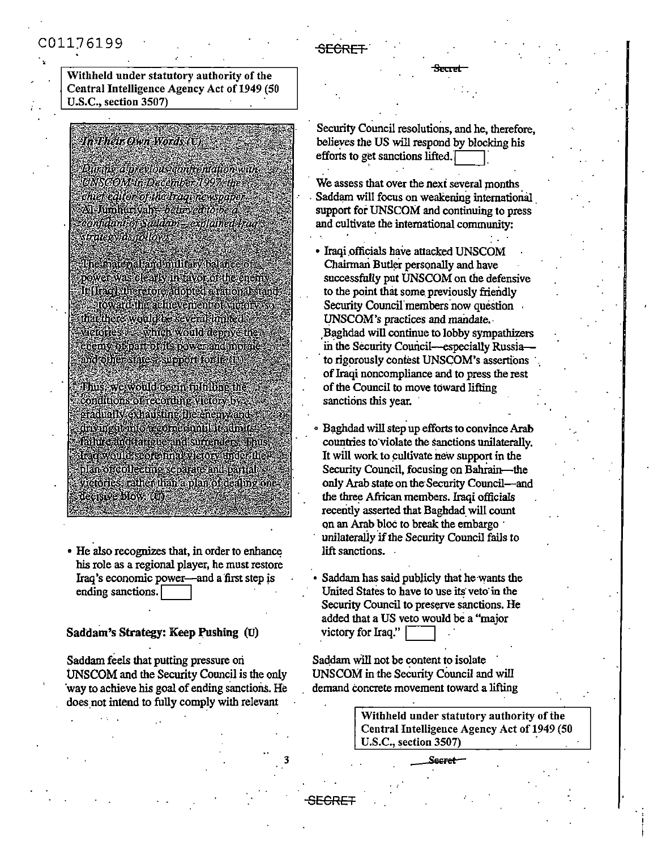### Withheld under statutory authority of the Central Intelligence Agency Act of 1949 (50 U.S.C., section 3507)

# In Ahelr.O.vn Words (U)

Durne a previous contronation with UNSCOM in December 1997, the chief editor of the Iraounewspaper Al-Jumhurvan *believed to be a* confidant of Saldam - explained frag trate & a stallow

The macrainad miliary balance o power was clearly in taken of the enem-If their therefore adopted anatomal stand stoy archivachevenent of victory that thore would be several to heal? defore a which yould depaye the and otherstates supportionit (b)

**Thus we would been fulfilme the** conditions of recording viology by a gradual vexhausung the enemy and dividual no accorde until tradmits **Coluz cancerations and succedules. Thus** Harrwould sesiestinal victory under the plan of collecting separate and partial victories, rather than a plan of dealing one decisive blow (Q).

• He also recognizes that, in order to enhance his role as a regional player, he must restore Iraq's economic power-and a 'first step js ending sanctions.

### Saddam's Strategy: Keep Pushing (U)

Saddam feels that putting pressure ori UNSCOM and the Security Council is the only ·way to achieve his goal of ending sanctions. He does not intend to fully comply with relevant

Security Council resolutions, and he, therefore, believes the US will respond by blocking his efforts to get sanctions lifted.

**&:c1et** 

SECRET.

- We assess that over the next several months Saddam will focus on weakening international support for UNSCOM and continuing to press and cultivate the international community:
- Iraqi officials have attacked UNSCOM Chairman Butler personally and have successfully put UNSCOM on the defensive to the point that some previously friendly Security Council members now question UNSCOM's practices and mandate. , Baghdad will continue to lobby sympathizers in the Security Council-especially Russiato rigorously contest UNSCOM's assertions ofIraqi noncompliance and to press the rest of the Council to move toward lifting sanctions this year.

• Baghdad will step up efforts to convince Arab countries to·violate the sanctions unilaterally. It will work to cultivate new support in the Security Council, focusing on Bahrain-the only Arab state on the Security Council-and the three African members. Iraqi officials recently asserted that Baghdad will count on an Arab bloc to break the embargo unilaterally if the Security Council fails to lift sanctions.

Saddam has said publicly that he wants the United States to have to use its veto in the Security Council to preserve sanctions. He added that a US veto would be a "major victory for Iraq."

Saddam will not be content to isolate UNSCOM in the Security Council and will demand eoncrete movement toward a lifting

> Withheld under statutory authority of the Central Intelligence Agency Act of 1949 (SO U.S.C., section 3507)

3 **&sret**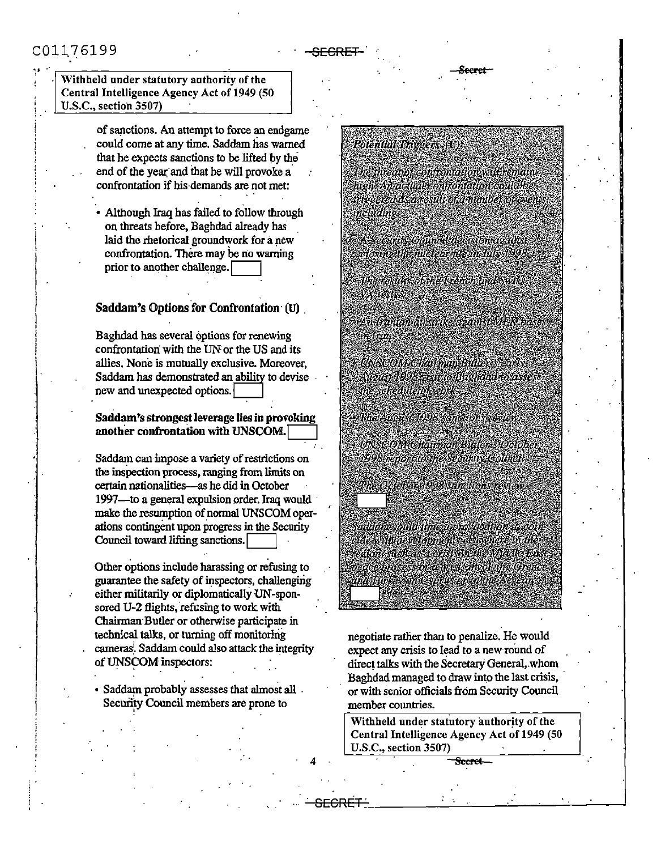

Withheld under statutory authority of the Central Intelligence Agency Act of 1949 (50 U.S.C., section 3507)

> of sanctions. An attempt to force an endgame could come at any time, Saddam has warned that he expects sanctions to be lifted by the end of the year and that he will provoke a confrontation if his demands are not met:

Although Iraq has failed to follow through on threats before, Baghdad already has laid the rhetorical groundwork for a new confrontation. There may be no warning prior to another challenge.

## Saddam's Options for Confrontation (U)

Baghdad has several options for renewing confrontation with the UN or the US and its allies. None is mutually exclusive. Moreover. Saddam has demonstrated an ability to devise new and unexpected options.

#### Saddam's strongest leverage lies in provoking another confrontation with UNSCOM.

Saddam can impose a variety of restrictions on the inspection process, ranging from limits on certain nationalities-as he did in October 1997-to a general expulsion order. Iraq would make the resumption of normal UNSCOM operations contingent upon progress in the Security Council toward lifting sanctions.

Other options include harassing or refusing to guarantee the safety of inspectors, challenging either militarily or diplomatically UN-sponsored U-2 flights, refusing to work with Chairman Butler or otherwise participate in technical talks, or turning off monitoring cameras. Saddam could also attack the integrity of UNSCOM inspectors:

· Saddam probably assesses that almost all . Security Council members are prone to

# **Polential Trivers (O)**

The threat of controntation will remain hich An actual confiontation could be meearedas.aresultoramunber.of.event melvärne

A Security Council decision acaust closite the nuclear flesh fully 1998. Thanasala as the Arenchanaeshaw Xieds

en fango amarike azamstive Koak irslnod.

.<br>ANSCOM Chairman Buters carly August 1998 Savit to Bughdha to asse the schedule of work.

UNSCOM Chairman Buder's Octob 1998 report to the Security Council

na Orisha a 1998, Analion, Asian

Пасливим 1998 запешных смет

addani could time a revolution to com iac wib*a*esalopnon's desidere mili egion such a se cession die Madle bas

negotiate rather than to penalize. He would expect any crisis to lead to a new round of direct talks with the Secretary General, whom Baghdad managed to draw into the last crisis, or with senior officials from Security Council member countries.

Withheld under statutory authority of the Central Intelligence Agency Act of 1949 (50 U.S.C., section 3507)

Secret-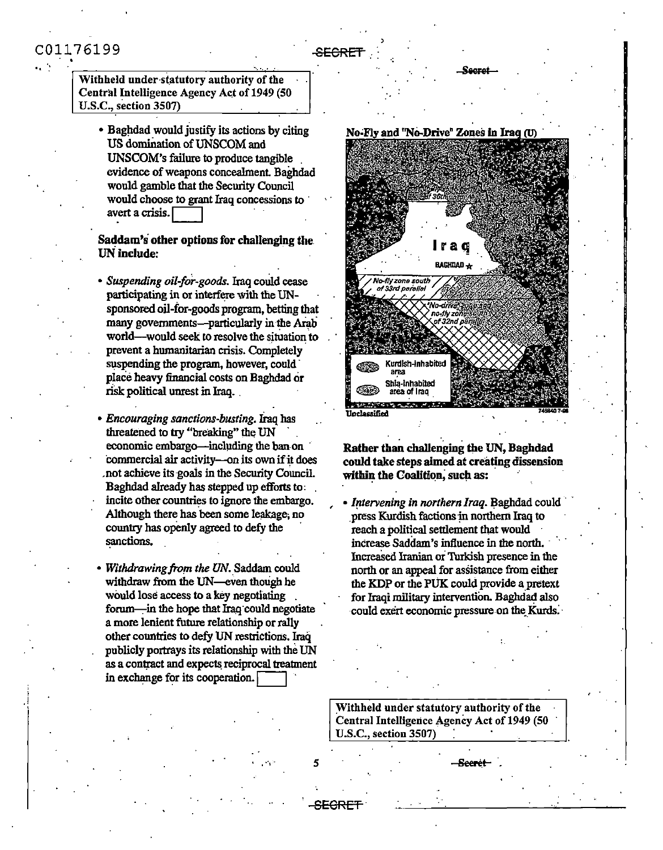Withheld under statutory authority of the Central Intelligence Agency Act of 1949 (50 **U.S.C., section 3507)** 

• Baghdad would justify its actions by citing US domination of UNSCOM and UNSCOM's failure to produce tangible evidence of weapons concealment. Baghdad would gamble that the Security Council would choose to grant Iraq concessions to avert a crisis.

### Saddam's other options for challenging the **UN** include:

- · Suspending oil-for-goods. Iraq could cease participating in or interfere with the UNsponsored oil-for-goods program, betting that many governments—particularly in the Arab world—would seek to resolve the situation to prevent a humanitarian crisis. Completely suspending the program, however, could place heavy financial costs on Baghdad or risk political unrest in Iraq.
- Encouraging sanctions-busting. Iraq has threatened to try "breaking" the UN economic embargo—including the ban on commercial air activity-on its own if it does not achieve its goals in the Security Council. Baghdad already has stepped up efforts to: incite other countries to ignore the embargo. Although there has been some leakage, no country has openly agreed to defy the sanctions.
- . Withdrawing from the UN. Saddam could withdraw from the UN—even though he would lose access to a key negotiating forum-in the hope that Iraq could negotiate a more lenient future relationship or rally other countries to defy UN restrictions. Iraq publicly portrays its relationship with the UN as a contract and expects reciprocal treatment in exchange for its cooperation.





### Rather than challenging the UN, Baghdad could take steps aimed at creating dissension within the Coalition, such as:

• Intervening in northern Iraq. Baghdad could press Kurdish factions in northern Iraq to reach a political settlement that would increase Saddam's influence in the north. Increased Iranian or Turkish presence in the north or an appeal for assistance from either the KDP or the PUK could provide a pretext for Iraqi military intervention. Baghdad also could exert economic pressure on the Kurds.

Withheld under statutory authority of the Central Intelligence Agency Act of 1949 (50 U.S.C., section 3507)

<del>SECRE</del>

Seeret

Secret

**SFCRE**